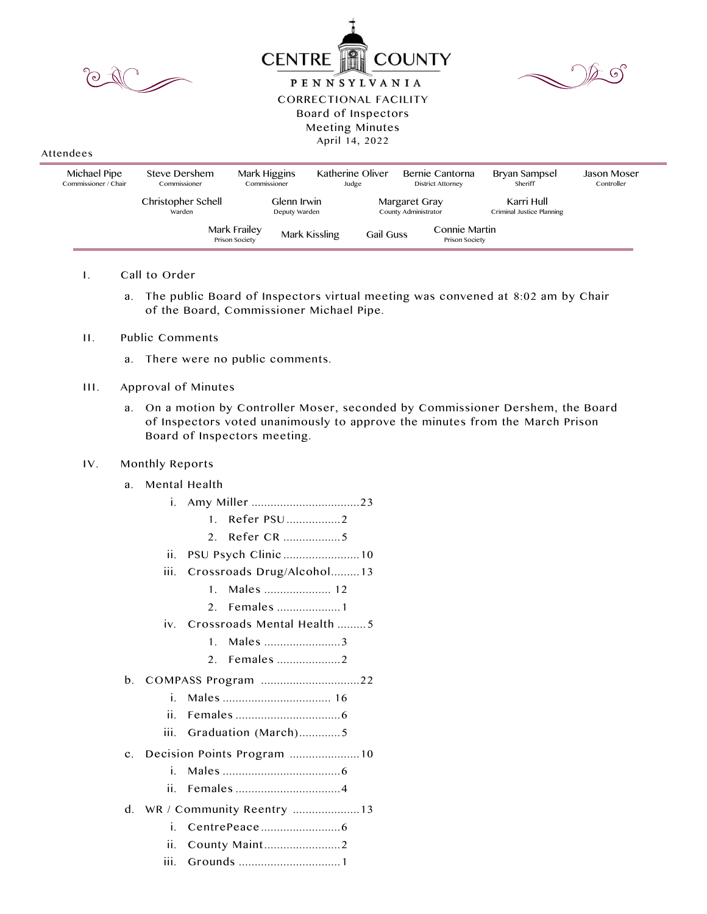| TO<br><b>COUNTY</b><br><b>CENTRE</b><br>( ၇<br>0°<br><b>PENNSYLVANIA</b><br><b>CORRECTIONAL FACILITY</b><br>Board of Inspectors<br>Meeting Minutes<br>April 14, 2022<br>Attendees |                               |                                |                                   |                                       |                                         |                                  |
|-----------------------------------------------------------------------------------------------------------------------------------------------------------------------------------|-------------------------------|--------------------------------|-----------------------------------|---------------------------------------|-----------------------------------------|----------------------------------|
| Michael Pipe<br>Commissioner / Chair                                                                                                                                              | Steve Dershem<br>Commissioner | Mark Higgins<br>Commissioner   | Katherine Oliver<br>Judge         | Bernie Cantorna<br>District Attorney  | Bryan Sampsel<br>Sheriff                | <b>Jason Moser</b><br>Controller |
|                                                                                                                                                                                   | Christopher Schell<br>Warden  | Glenn Irwin<br>Deputy Warden   |                                   | Margaret Gray<br>County Administrator | Karri Hull<br>Criminal Justice Planning |                                  |
|                                                                                                                                                                                   |                               | Mark Frailey<br>Prison Society | Mark Kissling<br><b>Gail Guss</b> | Connie Martin<br>Prison Society       |                                         |                                  |

- I. Call to Order
	- a. The public Board of Inspectors virtual meeting was convened at 8:02 am by Chair of the Board, Commissioner Michael Pipe.

- II. Public Comments
	- a. There were no public comments.

## III. Approval of Minutes

a. On a motion by Controller Moser, seconded by Commissioner Dershem, the Board of Inspectors voted unanimously to approve the minutes from the March Prison Board of Inspectors meeting.

## IV. Monthly Reports

- a. Mental Health
	- i. Amy Miller ..................................23
		- 1. Refer PSU .................2
			- 2. Refer CR ..................5
	- ii. PSU Psych Clinic ........................10
	- iii. Crossroads Drug/Alcohol.........13
		- 1. Males ..................... 12
		- 2. Females ....................1
	- iv. Crossroads Mental Health ......... 5
		- 1. Males ........................3
		- 2. Females ....................2
- b. COMPASS Program ...............................22
	- i. Males .................................. 16
	- ii. Females .................................6
	- iii. Graduation (March).............5
- c. Decision Points Program ......................10
	- i. Males .....................................6
	- ii. Females .................................4
- d. WR / Community Reentry .....................13
	- i. CentrePeace .........................6
	- ii. County Maint........................2
	- iii. Grounds ................................1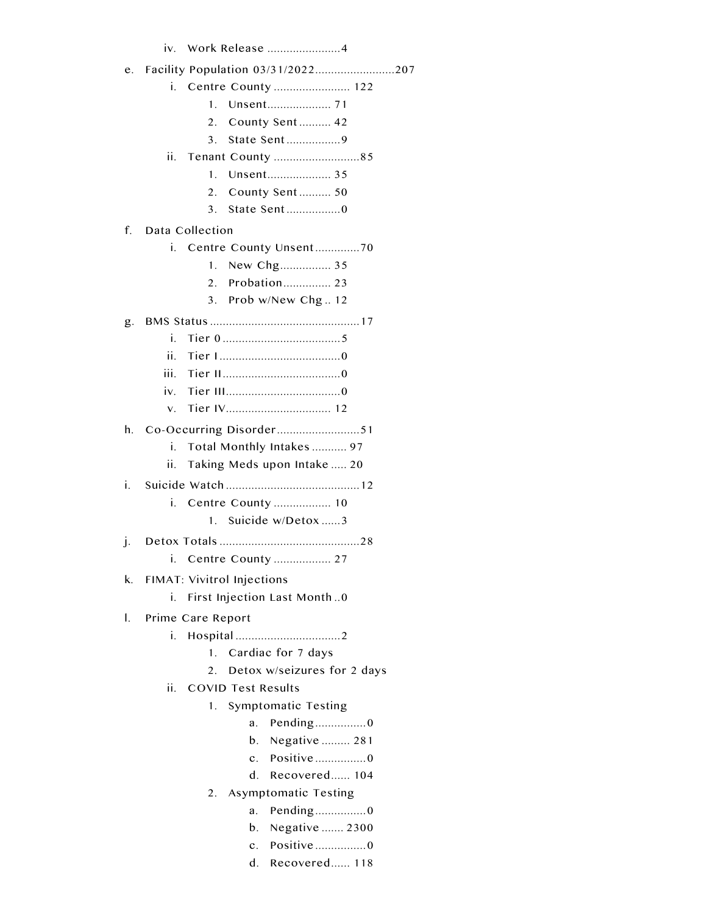|              | Work Release 4<br>iv.                       |  |  |  |  |
|--------------|---------------------------------------------|--|--|--|--|
| e.           | Facility Population 03/31/2022207           |  |  |  |  |
|              | i. Centre County  122                       |  |  |  |  |
|              | $\mathbf{1}$                                |  |  |  |  |
|              | 2.<br>County Sent  42                       |  |  |  |  |
|              | 3.                                          |  |  |  |  |
|              | ii.<br>Tenant County 85                     |  |  |  |  |
|              | 1.                                          |  |  |  |  |
|              | 2.<br>County Sent 50                        |  |  |  |  |
|              | State Sent0<br>3.                           |  |  |  |  |
| f.           | Data Collection                             |  |  |  |  |
|              | i. Centre County Unsent70                   |  |  |  |  |
|              | New Chg 35<br>1.                            |  |  |  |  |
|              | Probation 23<br>$\mathcal{P}_{\mathcal{C}}$ |  |  |  |  |
|              | Prob w/New Chg 12<br>3.                     |  |  |  |  |
| g.           |                                             |  |  |  |  |
|              | i.                                          |  |  |  |  |
|              | ii.                                         |  |  |  |  |
|              | iii.                                        |  |  |  |  |
|              | iv                                          |  |  |  |  |
|              | V.                                          |  |  |  |  |
| h.           |                                             |  |  |  |  |
|              | i.<br>Total Monthly Intakes  97             |  |  |  |  |
|              | ii.<br>Taking Meds upon Intake  20          |  |  |  |  |
| İ.           |                                             |  |  |  |  |
|              | Centre County  10<br>i.                     |  |  |  |  |
|              | Suicide w/Detox3<br>1.                      |  |  |  |  |
| $\mathbf{I}$ |                                             |  |  |  |  |
|              | Centre County  27<br>Τ.                     |  |  |  |  |
| k.           | <b>FIMAT: Vivitrol Injections</b>           |  |  |  |  |
|              | First Injection Last Month0<br>i.           |  |  |  |  |
| I.           | Prime Care Report                           |  |  |  |  |
|              | i.                                          |  |  |  |  |
|              | Cardiac for 7 days<br>1.                    |  |  |  |  |
|              | Detox w/seizures for 2 days<br>2.           |  |  |  |  |
|              | ii.<br><b>COVID Test Results</b>            |  |  |  |  |
|              | Symptomatic Testing<br>1.                   |  |  |  |  |
|              | Pending0<br>a.                              |  |  |  |  |
|              | Negative  281<br>b.                         |  |  |  |  |
|              | Positive0<br>$\mathbf{c}$ .                 |  |  |  |  |
|              | Recovered 104<br>d.                         |  |  |  |  |
|              | Asymptomatic Testing<br>2.                  |  |  |  |  |
|              | Pending0<br>a.                              |  |  |  |  |
|              | Negative  2300<br>b.                        |  |  |  |  |
|              | Positive0<br>$\mathbf{c}$ .                 |  |  |  |  |
|              | Recovered 118<br>d.                         |  |  |  |  |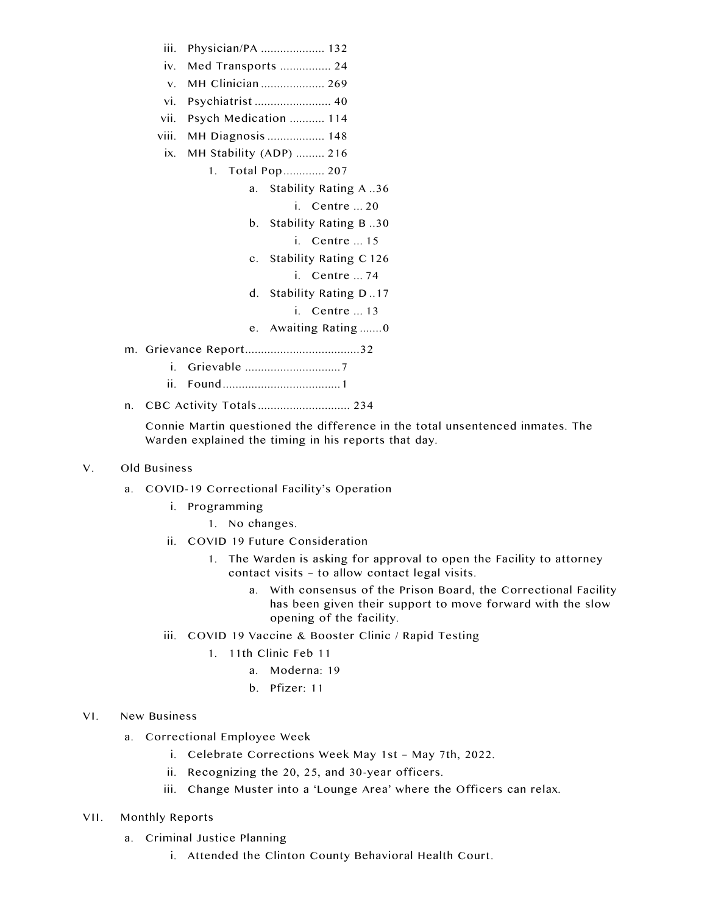- iii. Physician/PA .................... 132
- iv. Med Transports ................ 24
- v. MH Clinician .................... 269
- vi. Psychiatrist ........................ 40
- vii. Psych Medication ........... 114
- viii. MH Diagnosis .................. 148
- ix. MH Stability (ADP) ......... 216
	- 1. Total Pop ............. 207
		- a. Stability Rating A ..36
			- i. Centre ... 20
		- b. Stability Rating B ..30
			- i. Centre ... 15
		- c. Stability Rating C 126
			- i. Centre ... 74
		- d. Stability Rating D ..17
			- i. Centre ... 13
		- e. Awaiting Rating .......0
- m. Grievance Report....................................32
	- i. Grievable ..............................7
	- ii. Found .....................................1
- n. CBC Activity Totals ............................. 234

Connie Martin questioned the difference in the total unsentenced inmates. The Warden explained the timing in his reports that day.

## V. Old Business

- a. COVID-19 Correctional Facility's Operation
	- i. Programming
		- 1. No changes.
	- ii. COVID 19 Future Consideration
		- 1. The Warden is asking for approval to open the Facility to attorney contact visits – to allow contact legal visits.
			- a. With consensus of the Prison Board, the Correctional Facility has been given their support to move forward with the slow opening of the facility.
	- iii. COVID 19 Vaccine & Booster Clinic / Rapid Testing
		- 1. 11th Clinic Feb 11
			- a. Moderna: 19
			- b. Pfizer: 11

## VI. New Business

- a. Correctional Employee Week
	- i. Celebrate Corrections Week May 1st May 7th, 2022.
	- ii. Recognizing the 20, 25, and 30-year officers.
	- iii. Change Muster into a 'Lounge Area' where the Officers can relax.
- VII. Monthly Reports
	- a. Criminal Justice Planning
		- i. Attended the Clinton County Behavioral Health Court.